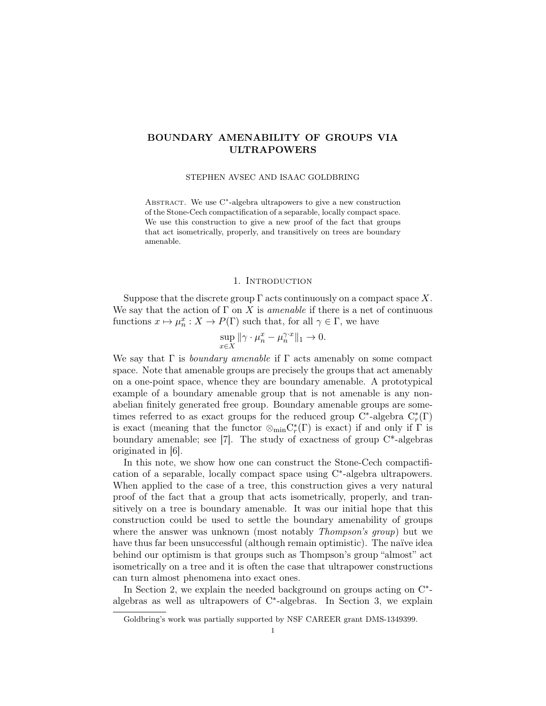# BOUNDARY AMENABILITY OF GROUPS VIA ULTRAPOWERS

STEPHEN AVSEC AND ISAAC GOLDBRING

ABSTRACT. We use C<sup>\*</sup>-algebra ultrapowers to give a new construction of the Stone-Cech compactification of a separable, locally compact space. We use this construction to give a new proof of the fact that groups that act isometrically, properly, and transitively on trees are boundary amenable.

### 1. INTRODUCTION

Suppose that the discrete group  $\Gamma$  acts continuously on a compact space X. We say that the action of  $\Gamma$  on X is *amenable* if there is a net of continuous functions  $x \mapsto \mu_n^x : X \to P(\Gamma)$  such that, for all  $\gamma \in \Gamma$ , we have

$$
\sup_{x \in X} \|\gamma \cdot \mu_n^x - \mu_n^{\gamma \cdot x}\|_1 \to 0.
$$

We say that  $\Gamma$  is *boundary amenable* if  $\Gamma$  acts amenably on some compact space. Note that amenable groups are precisely the groups that act amenably on a one-point space, whence they are boundary amenable. A prototypical example of a boundary amenable group that is not amenable is any nonabelian finitely generated free group. Boundary amenable groups are sometimes referred to as exact groups for the reduced group C<sup>\*</sup>-algebra  $C_r^*(\Gamma)$ is exact (meaning that the functor  $\otimes_{\min} C_r^*(\Gamma)$  is exact) if and only if  $\Gamma$  is boundary amenable; see  $[7]$ . The study of exactness of group  $C^*$ -algebras originated in [6].

In this note, we show how one can construct the Stone-Cech compactification of a separable, locally compact space using C<sup>\*</sup>-algebra ultrapowers. When applied to the case of a tree, this construction gives a very natural proof of the fact that a group that acts isometrically, properly, and transitively on a tree is boundary amenable. It was our initial hope that this construction could be used to settle the boundary amenability of groups where the answer was unknown (most notably *Thompson's group*) but we have thus far been unsuccessful (although remain optimistic). The naïve idea behind our optimism is that groups such as Thompson's group "almost" act isometrically on a tree and it is often the case that ultrapower constructions can turn almost phenomena into exact ones.

In Section 2, we explain the needed background on groups acting on  $C^*$ algebras as well as ultrapowers of C<sup>\*</sup>-algebras. In Section 3, we explain

Goldbring's work was partially supported by NSF CAREER grant DMS-1349399.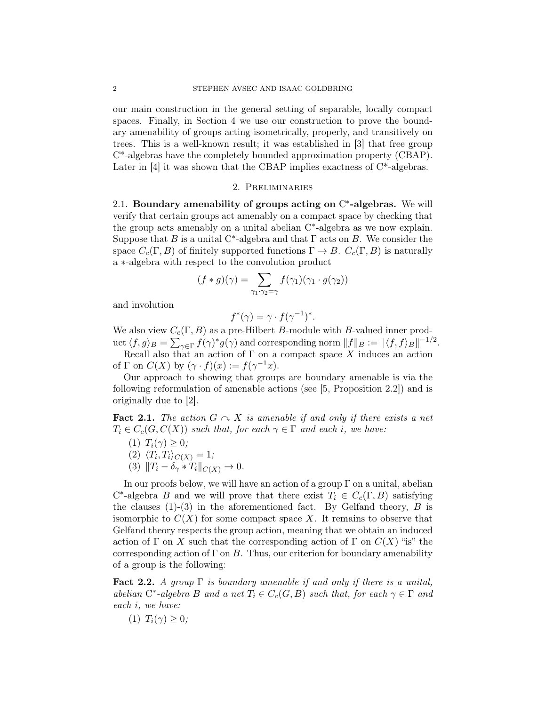our main construction in the general setting of separable, locally compact spaces. Finally, in Section 4 we use our construction to prove the boundary amenability of groups acting isometrically, properly, and transitively on trees. This is a well-known result; it was established in [3] that free group C\*-algebras have the completely bounded approximation property (CBAP). Later in [4] it was shown that the CBAP implies exactness of  $C^*$ -algebras.

#### 2. Preliminaries

2.1. Boundary amenability of groups acting on  $C^*$ -algebras. We will verify that certain groups act amenably on a compact space by checking that the group acts amenably on a unital abelian C<sup>\*</sup>-algebra as we now explain. Suppose that B is a unital C<sup>\*</sup>-algebra and that  $\Gamma$  acts on B. We consider the space  $C_c(\Gamma, B)$  of finitely supported functions  $\Gamma \to B$ .  $C_c(\Gamma, B)$  is naturally a ∗-algebra with respect to the convolution product

$$
(f * g)(\gamma) = \sum_{\gamma_1 \cdot \gamma_2 = \gamma} f(\gamma_1)(\gamma_1 \cdot g(\gamma_2))
$$

and involution

$$
f^*(\gamma) = \gamma \cdot f(\gamma^{-1})^*.
$$

We also view  $C_c(\Gamma, B)$  as a pre-Hilbert B-module with B-valued inner product  $\langle f, g \rangle_B = \sum_{\gamma \in \Gamma} f(\gamma)^* g(\gamma)$  and corresponding norm  $||f||_B := ||\langle f, f \rangle_B||^{-1/2}$ .

Recall also that an action of  $\Gamma$  on a compact space X induces an action of  $\Gamma$  on  $C(X)$  by  $(\gamma \cdot f)(x) := f(\gamma^{-1}x)$ .

Our approach to showing that groups are boundary amenable is via the following reformulation of amenable actions (see [5, Proposition 2.2]) and is originally due to [2].

**Fact 2.1.** The action  $G \sim X$  is amenable if and only if there exists a net  $T_i \in C_c(G, C(X))$  such that, for each  $\gamma \in \Gamma$  and each i, we have:

- (1)  $T_i(\gamma) \geq 0$ ;
- $(2)$   $\langle T_i, T_i \rangle_{C(X)} = 1;$
- (3)  $||T_i \delta_\gamma * T_i||_{C(X)} \to 0.$

In our proofs below, we will have an action of a group  $\Gamma$  on a unital, abelian  $C^*$ -algebra B and we will prove that there exist  $T_i \in C_c(\Gamma, B)$  satisfying the clauses  $(1)-(3)$  in the aforementioned fact. By Gelfand theory, B is isomorphic to  $C(X)$  for some compact space X. It remains to observe that Gelfand theory respects the group action, meaning that we obtain an induced action of Γ on X such that the corresponding action of Γ on  $C(X)$  "is" the corresponding action of  $\Gamma$  on  $B$ . Thus, our criterion for boundary amenability of a group is the following:

**Fact 2.2.** A group  $\Gamma$  is boundary amenable if and only if there is a unital, abelian  $C^*$ -algebra B and a net  $T_i \in C_c(G, B)$  such that, for each  $\gamma \in \Gamma$  and each i, we have:

(1)  $T_i(\gamma) \geq 0$ ;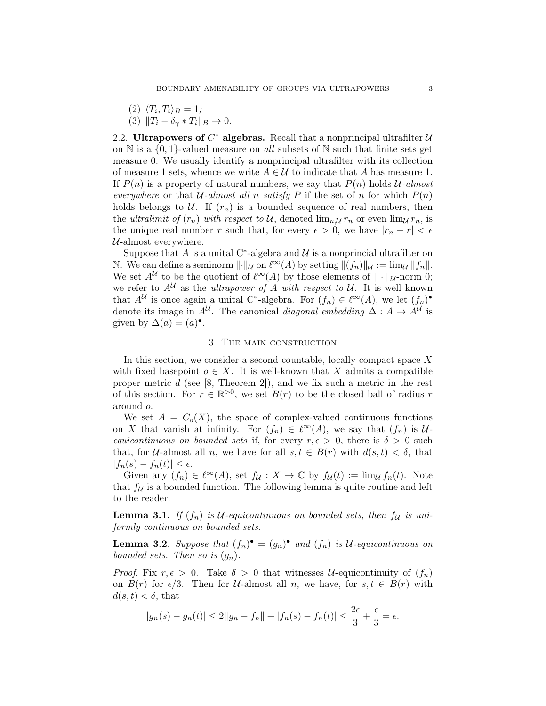- $(2)$   $\langle T_i, T_i \rangle_B = 1;$
- (3)  $||T_i \delta_\gamma * T_i||_B \to 0.$

2.2. Ultrapowers of  $C^*$  algebras. Recall that a nonprincipal ultrafilter  $\mathcal U$ on  $\mathbb N$  is a  $\{0,1\}$ -valued measure on all subsets of  $\mathbb N$  such that finite sets get measure 0. We usually identify a nonprincipal ultrafilter with its collection of measure 1 sets, whence we write  $A \in \mathcal{U}$  to indicate that A has measure 1. If  $P(n)$  is a property of natural numbers, we say that  $P(n)$  holds U-almost everywhere or that U-almost all n satisfy P if the set of n for which  $P(n)$ holds belongs to  $U$ . If  $(r_n)$  is a bounded sequence of real numbers, then the ultralimit of  $(r_n)$  with respect to U, denoted  $\lim_{n\downarrow} r_n$  or even  $\lim_{u \to n} r_n$ , is the unique real number r such that, for every  $\epsilon > 0$ , we have  $|r_n - r| < \epsilon$  $U$ -almost everywhere.

Suppose that A is a unital C<sup>\*</sup>-algebra and  $\mathcal U$  is a nonprincial ultrafilter on N. We can define a seminorm  $\lVert \cdot \rVert_{\mathcal{U}}$  on  $\ell^{\infty}(A)$  by setting  $\lVert (f_n) \rVert_{\mathcal{U}} := \lim_{\mathcal{U}} \lVert f_n \rVert$ . We set  $A^{\mathcal{U}}$  to be the quotient of  $\ell^{\infty}(A)$  by those elements of  $\|\cdot\|_{\mathcal{U}}$ -norm 0; we refer to  $A^{\mathcal{U}}$  as the *ultrapower of* A with respect to  $\mathcal{U}$ . It is well known that  $A^{\mathcal{U}}$  is once again a unital C<sup>\*</sup>-algebra. For  $(f_n) \in \ell^{\infty}(A)$ , we let  $(f_n)$ <sup>•</sup> denote its image in  $A^{\mathcal{U}}$ . The canonical *diagonal embedding*  $\Delta: A \to A^{\mathcal{U}}$  is given by  $\Delta(a) = (a)^\bullet$ .

### 3. The main construction

In this section, we consider a second countable, locally compact space  $X$ with fixed basepoint  $o \in X$ . It is well-known that X admits a compatible proper metric d (see  $[8,$  Theorem 2]), and we fix such a metric in the rest of this section. For  $r \in \mathbb{R}^{>0}$ , we set  $B(r)$  to be the closed ball of radius r around o.

We set  $A = C<sub>o</sub>(X)$ , the space of complex-valued continuous functions on X that vanish at infinity. For  $(f_n) \in \ell^{\infty}(A)$ , we say that  $(f_n)$  is Uequicontinuous on bounded sets if, for every  $r, \epsilon > 0$ , there is  $\delta > 0$  such that, for U-almost all n, we have for all  $s, t \in B(r)$  with  $d(s,t) < \delta$ , that  $|f_n(s) - f_n(t)| \leq \epsilon.$ 

Given any  $(f_n) \in \ell^{\infty}(A)$ , set  $f_{\mathcal{U}} : X \to \mathbb{C}$  by  $f_{\mathcal{U}}(t) := \lim_{\mathcal{U}} f_n(t)$ . Note that  $f_{\mathcal{U}}$  is a bounded function. The following lemma is quite routine and left to the reader.

**Lemma 3.1.** If  $(f_n)$  is U-equicontinuous on bounded sets, then  $f_{\mathcal{U}}$  is uniformly continuous on bounded sets.

**Lemma 3.2.** Suppose that  $(f_n)^{\bullet} = (g_n)^{\bullet}$  and  $(f_n)$  is U-equicontinuous on bounded sets. Then so is  $(g_n)$ .

*Proof.* Fix  $r, \epsilon > 0$ . Take  $\delta > 0$  that witnesses *U*-equicontinuity of  $(f_n)$ on  $B(r)$  for  $\epsilon/3$ . Then for U-almost all n, we have, for  $s, t \in B(r)$  with  $d(s,t) < \delta$ , that

$$
|g_n(s) - g_n(t)| \le 2||g_n - f_n|| + |f_n(s) - f_n(t)| \le \frac{2\epsilon}{3} + \frac{\epsilon}{3} = \epsilon.
$$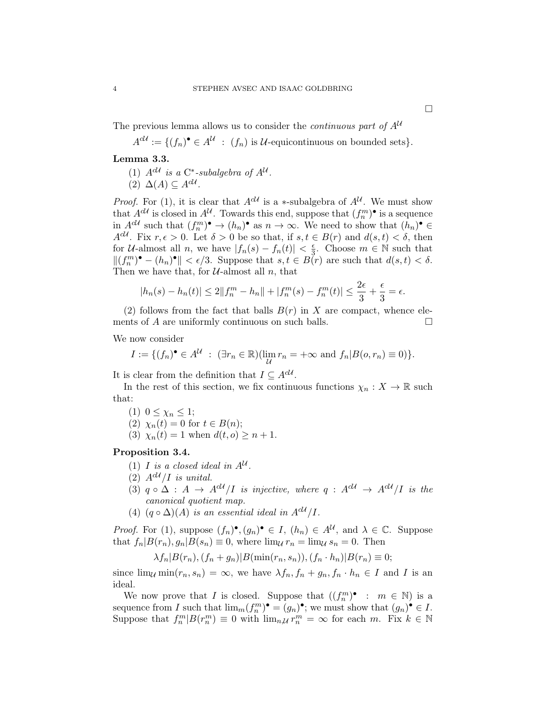The previous lemma allows us to consider the *continuous part of*  $A^U$ 

 $A^{c\mathcal{U}} := \{ (f_n)^{\bullet} \in A^{\mathcal{U}} : (f_n) \text{ is } \mathcal{U}\text{-equiv continuous on bounded sets} \}.$ 

## Lemma 3.3.

(1)  $A^{c\mathcal{U}}$  is a C<sup>\*</sup>-subalgebra of  $A^{\mathcal{U}}$ .  $(2) \Delta(A) \subseteq A^{cU}.$ 

*Proof.* For (1), it is clear that  $A^{c\mathcal{U}}$  is a \*-subalgebra of  $A^{\mathcal{U}}$ . We must show that  $A^{cU}$  is closed in  $A^{U}$ . Towards this end, suppose that  $(f_n^m)$  is a sequence in  $A^{cU}$  such that  $(f_n^m)^\bullet \to (h_n)^\bullet$  as  $n \to \infty$ . We need to show that  $(h_n)^\bullet \in$  $A^{cU}$ . Fix  $r, \epsilon > 0$ . Let  $\delta > 0$  be so that, if  $s, t \in B(r)$  and  $d(s, t) < \delta$ , then for U-almost all n, we have  $|f_n(s) - f_n(t)| < \frac{\epsilon}{3}$  $\frac{\epsilon}{3}$ . Choose  $m \in \mathbb{N}$  such that  $||(f_n^m)^{\bullet} - (h_n)^{\bullet}|| < \epsilon/3$ . Suppose that  $s, t \in B(r)$  are such that  $d(s, t) < \delta$ . Then we have that, for  $U$ -almost all n, that

$$
|h_n(s) - h_n(t)| \le 2||f_n^m - h_n|| + |f_n^m(s) - f_n^m(t)| \le \frac{2\epsilon}{3} + \frac{\epsilon}{3} = \epsilon.
$$

(2) follows from the fact that balls  $B(r)$  in X are compact, whence elements of A are uniformly continuous on such balls.  $\Box$ 

We now consider

$$
I := \{ (f_n)^{\bullet} \in A^{\mathcal{U}} : (\exists r_n \in \mathbb{R}) (\lim_{\mathcal{U}} r_n = +\infty \text{ and } f_n | B(o, r_n) \equiv 0) \}.
$$

It is clear from the definition that  $I \subseteq A^{cU}$ .

In the rest of this section, we fix continuous functions  $\chi_n : X \to \mathbb{R}$  such that:

(1)  $0 \leq \chi_n \leq 1$ ;

(2) 
$$
\chi_n(t) = 0
$$
 for  $t \in B(n)$ ;

(3)  $\chi_n(t) = 1$  when  $d(t, o) \geq n + 1$ .

### Proposition 3.4.

- (1) *I* is a closed ideal in  $A^{\mathcal{U}}$ .
- (2)  $A^{cU}/I$  is unital.
- (3)  $q \circ \Delta : A \rightarrow A^{cU}/I$  is injective, where  $q : A^{cU} \rightarrow A^{cU}/I$  is the canonical quotient map.
- (4)  $(q \circ \Delta)(A)$  is an essential ideal in  $A^{c\mathcal{U}}/I$ .

*Proof.* For (1), suppose  $(f_n)^\bullet$ ,  $(g_n)^\bullet \in I$ ,  $(h_n) \in A^{\mathcal{U}}$ , and  $\lambda \in \mathbb{C}$ . Suppose that  $f_n|B(r_n), g_n|B(s_n) \equiv 0$ , where  $\lim_{\mathcal{U}} r_n = \lim_{\mathcal{U}} s_n = 0$ . Then

$$
\lambda f_n|B(r_n), (f_n+g_n)|B(\min(r_n, s_n)), (f_n \cdot h_n)|B(r_n) \equiv 0;
$$

since  $\lim_{\mathcal{U}} \min(r_n, s_n) = \infty$ , we have  $\lambda f_n, f_n + g_n, f_n \cdot h_n \in I$  and I is an ideal.

We now prove that I is closed. Suppose that  $((f_n^m)^\bullet : m \in \mathbb{N})$  is a sequence from I such that  $\lim_m (f_n^m)^\bullet = (g_n)^\bullet$ ; we must show that  $(g_n)^\bullet \in I$ . Suppose that  $f_n^m | B(r_n^m) \equiv 0$  with  $\lim_{n,\mathcal{U}} r_n^m = \infty$  for each m. Fix  $k \in \mathbb{N}$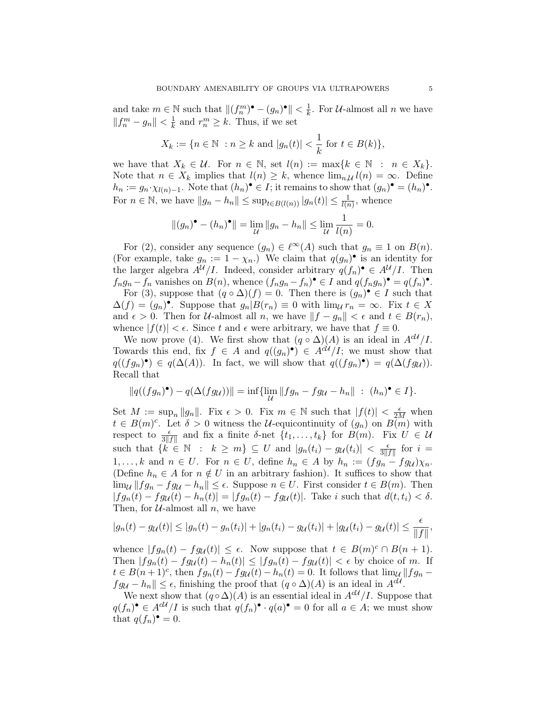and take  $m \in \mathbb{N}$  such that  $||(f_n^m)^{\bullet} - (g_n)^{\bullet}|| < \frac{1}{k}$  $\frac{1}{k}$ . For *U*-almost all *n* we have  $||f_n^m - g_n|| < \frac{1}{k}$  $\frac{1}{k}$  and  $r_n^m \geq k$ . Thus, if we set

$$
X_k := \{ n \in \mathbb{N} : n \ge k \text{ and } |g_n(t)| < \frac{1}{k} \text{ for } t \in B(k) \},\
$$

we have that  $X_k \in \mathcal{U}$ . For  $n \in \mathbb{N}$ , set  $l(n) := \max\{k \in \mathbb{N} : n \in X_k\}.$ Note that  $n \in X_k$  implies that  $l(n) \geq k$ , whence  $\lim_{n\downarrow l} l(n) = \infty$ . Define  $h_n := g_n \cdot \chi_{l(n)-1}$ . Note that  $(h_n)^\bullet \in I$ ; it remains to show that  $(g_n)^\bullet = (h_n)^\bullet$ . For  $n \in \mathbb{N}$ , we have  $||g_n - h_n|| \leq \sup_{t \in B(l(n))} |g_n(t)| \leq \frac{1}{l(n)}$ , whence

$$
||(g_n)^{\bullet} - (h_n)^{\bullet}|| = \lim_{\mathcal{U}} ||g_n - h_n|| \le \lim_{\mathcal{U}} \frac{1}{l(n)} = 0.
$$

For (2), consider any sequence  $(g_n) \in \ell^{\infty}(A)$  such that  $g_n \equiv 1$  on  $B(n)$ . (For example, take  $g_n := 1 - \chi_n$ .) We claim that  $q(g_n)$  is an identity for the larger algebra  $A^{\mathcal{U}}/I$ . Indeed, consider arbitrary  $q(f_n)^{\bullet} \in A^{\mathcal{U}}/I$ . Then  $f_n g_n - f_n$  vanishes on  $B(n)$ , whence  $(f_n g_n - f_n)$ <sup> $\bullet \in I$ </sup> and  $q(f_n g_n)$ <sup> $\bullet = q(f_n)$ <sup> $\bullet$ </sup>.</sup> For (3), suppose that  $(q \circ \Delta)(f) = 0$ . Then there is  $(g_n)^\bullet \in I$  such that  $\Delta(f) = (g_n)$ . Suppose that  $g_n | B(r_n) \equiv 0$  with  $\lim_{\mathcal{U}} r_n = \infty$ . Fix  $t \in X$ and  $\epsilon > 0$ . Then for *U*-almost all n, we have  $||f - g_n|| < \epsilon$  and  $t \in B(r_n)$ , whence  $|f(t)| < \epsilon$ . Since t and  $\epsilon$  were arbitrary, we have that  $f \equiv 0$ .

We now prove (4). We first show that  $(q \circ \Delta)(A)$  is an ideal in  $A^{cU}/I$ . Towards this end, fix  $f \in A$  and  $q((g_n)^\bullet) \in A^{c\mathcal{U}}/I$ ; we must show that  $q((fg_n)^{\bullet}) \in q(\Delta(A))$ . In fact, we will show that  $q((fg_n)^{\bullet}) = q(\Delta(fg_{\mathcal{U}}))$ . Recall that

$$
||q((fg_n)^{\bullet}) - q(\Delta(fg_{\mathcal{U}}))|| = \inf \{ \lim_{\mathcal{U}} ||fg_n - fg_{\mathcal{U}} - h_n|| \ : \ (h_n)^{\bullet} \in I \}.
$$

Set  $M := \sup_n ||g_n||$ . Fix  $\epsilon > 0$ . Fix  $m \in \mathbb{N}$  such that  $|f(t)| < \frac{\epsilon}{2M}$  when  $t \in B(m)^c$ . Let  $\delta > 0$  witness the U-equicontinuity of  $(g_n)$  on  $B(m)$  with respect to  $\frac{\epsilon}{3||f||}$  and fix a finite δ-net  $\{t_1, \ldots, t_k\}$  for  $B(m)$ . Fix  $U \in \mathcal{U}$ such that  $\{k \in \mathbb{N} : k \geq m\} \subseteq U$  and  $|g_n(t_i) - g_\mathcal{U}(t_i)| < \frac{\epsilon}{3!}$  $\frac{\epsilon}{3\|f\|}$  for  $i =$ 1,..., k and  $n \in U$ . For  $n \in U$ , define  $h_n \in A$  by  $h_n := (fg_n - fg_u)\chi_n$ . (Define  $h_n \in A$  for  $n \notin U$  in an arbitrary fashion). It suffices to show that  $\lim_{\mathcal{U}} ||fg_n - fg_{\mathcal{U}} - h_n|| \leq \epsilon$ . Suppose  $n \in U$ . First consider  $t \in B(m)$ . Then  $|fg_n(t) - fg_{\mathcal{U}}(t) - h_n(t)| = |fg_n(t) - fg_{\mathcal{U}}(t)|$ . Take i such that  $d(t, t_i) < \delta$ . Then, for  $U$ -almost all n, we have

$$
|g_n(t) - g_{\mathcal{U}}(t)| \leq |g_n(t) - g_n(t_i)| + |g_n(t_i) - g_{\mathcal{U}}(t_i)| + |g_{\mathcal{U}}(t_i) - g_{\mathcal{U}}(t)| \leq \frac{\epsilon}{\|f\|},
$$

whence  $|fg_n(t) - fg_\mathcal{U}(t)| \leq \epsilon$ . Now suppose that  $t \in B(m)^c \cap B(n+1)$ . Then  $|fg_n(t) - fg_\mathcal{U}(t) - h_n(t)| \leq |fg_n(t) - fg_\mathcal{U}(t)| < \epsilon$  by choice of m. If  $t \in B(n+1)^c$ , then  $fg_n(t) - fg_\mathcal{U}(t) - h_n(t) = 0$ . It follows that  $\lim_{\mathcal{U}} ||fg_n$  $fg_{\mathcal{U}} - h_n || \leq \epsilon$ , finishing the proof that  $(q \circ \Delta)(A)$  is an ideal in  $A^{c\mathcal{U}}$ .

We next show that  $(q \circ \Delta)(A)$  is an essential ideal in  $A^{cU}/I$ . Suppose that  $q(f_n)$   $\in A^{c\mathcal{U}}/I$  is such that  $q(f_n)$   $\cdot$   $q(a)$   $\bullet$  = 0 for all  $a \in A$ ; we must show that  $q(f_n)^\bullet = 0$ .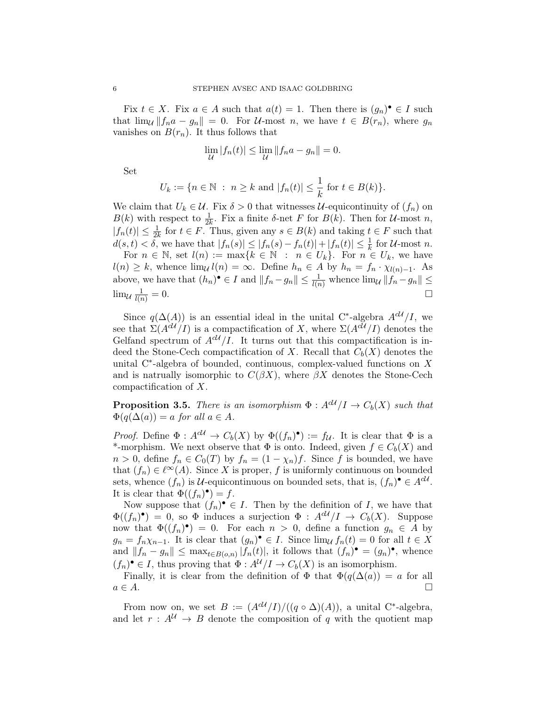Fix  $t \in X$ . Fix  $a \in A$  such that  $a(t) = 1$ . Then there is  $(g_n)^\bullet \in I$  such that  $\lim_{\mathcal{U}} ||f_n a - g_n|| = 0$ . For *U*-most *n*, we have  $t \in B(r_n)$ , where  $g_n$ vanishes on  $B(r_n)$ . It thus follows that

$$
\lim_{\mathcal{U}} |f_n(t)| \le \lim_{\mathcal{U}} ||f_n a - g_n|| = 0.
$$

Set

$$
U_k := \{ n \in \mathbb{N} : n \ge k \text{ and } |f_n(t)| \le \frac{1}{k} \text{ for } t \in B(k) \}.
$$

We claim that  $U_k \in \mathcal{U}$ . Fix  $\delta > 0$  that witnesses  $\mathcal{U}$ -equicontinuity of  $(f_n)$  on  $B(k)$  with respect to  $\frac{1}{2k}$ . Fix a finite  $\delta$ -net F for  $B(k)$ . Then for  $\mathcal{U}$ -most n,  $|f_n(t)| \leq \frac{1}{2k}$  for  $t \in F$ . Thus, given any  $s \in B(k)$  and taking  $t \in F$  such that  $d(s,t) < \delta$ , we have that  $|f_n(s)| \leq |f_n(s) - f_n(t)| + |f_n(t)| \leq \frac{1}{k}$  for U-most n.

For  $n \in \mathbb{N}$ , set  $l(n) := \max\{k \in \mathbb{N} : n \in U_k\}$ . For  $n \in U_k$ , we have  $l(n) \geq k$ , whence  $\lim_{\mathcal{U}} l(n) = \infty$ . Define  $h_n \in A$  by  $h_n = f_n \cdot \chi_{l(n)-1}$ . As above, we have that  $(h_n)^{\bullet} \in I$  and  $||f_n - g_n|| \leq \frac{1}{l(n)}$  whence  $\lim_{\mathcal{U}} ||f_n - g_n|| \leq$  $\lim_{\mathcal{U}} \frac{1}{l(x)}$  $\frac{1}{l(n)} = 0.$ 

Since  $q(\Delta(A))$  is an essential ideal in the unital C<sup>\*</sup>-algebra  $A^{c\mathcal{U}}/I$ , we see that  $\Sigma(A^{cU}/I)$  is a compactification of X, where  $\Sigma(A^{cU}/I)$  denotes the Gelfand spectrum of  $A^{cU}/I$ . It turns out that this compactification is indeed the Stone-Cech compactification of X. Recall that  $C_b(X)$  denotes the unital  $C^*$ -algebra of bounded, continuous, complex-valued functions on X and is natrually isomorphic to  $C(\beta X)$ , where  $\beta X$  denotes the Stone-Cech compactification of X.

**Proposition 3.5.** There is an isomorphism  $\Phi: A^{cU}/I \to C_b(X)$  such that  $\Phi(q(\Delta(a)) = a$  for all  $a \in A$ .

*Proof.* Define  $\Phi: A^{c\mathcal{U}} \to C_b(X)$  by  $\Phi((f_n)^{\bullet}) := f_{\mathcal{U}}$ . It is clear that  $\Phi$  is a \*-morphism. We next observe that  $\Phi$  is onto. Indeed, given  $f \in C_b(X)$  and  $n > 0$ , define  $f_n \in C_0(T)$  by  $f_n = (1 - \chi_n)f$ . Since f is bounded, we have that  $(f_n) \in \ell^{\infty}(A)$ . Since X is proper, f is uniformly continuous on bounded sets, whence  $(f_n)$  is U-equicontinuous on bounded sets, that is,  $(f_n)^{\bullet} \in A^{cU}$ . It is clear that  $\Phi((f_n)^{\bullet}) = f$ .

Now suppose that  $(f_n)^{\bullet} \in I$ . Then by the definition of I, we have that  $\Phi((f_n)^{\bullet}) = 0$ , so  $\Phi$  induces a surjection  $\Phi : A^{c\mathcal{U}}/I \to C_b(X)$ . Suppose now that  $\Phi((f_n)^{\bullet}) = 0$ . For each  $n > 0$ , define a function  $g_n \in A$  by  $g_n = f_n \chi_{n-1}$ . It is clear that  $(g_n)$   $\in I$ . Since  $\lim_{\mathcal{U}} f_n(t) = 0$  for all  $t \in X$ and  $||f_n - g_n|| \leq \max_{t \in B(o,n)} |f_n(t)|$ , it follows that  $(f_n)^\bullet = (g_n)^\bullet$ , whence  $(f_n)$   $\bullet \in I$ , thus proving that  $\Phi: A^{\mathcal{U}}/I \to C_b(X)$  is an isomorphism.

Finally, it is clear from the definition of  $\Phi$  that  $\Phi(q(\Delta(a)) = a$  for all  $a \in A$ .

From now on, we set  $B := (A^{c\mathcal{U}}/I)/((q \circ \Delta)(A))$ , a unital C<sup>\*</sup>-algebra, and let  $r : A^{\mathcal{U}} \to B$  denote the composition of q with the quotient map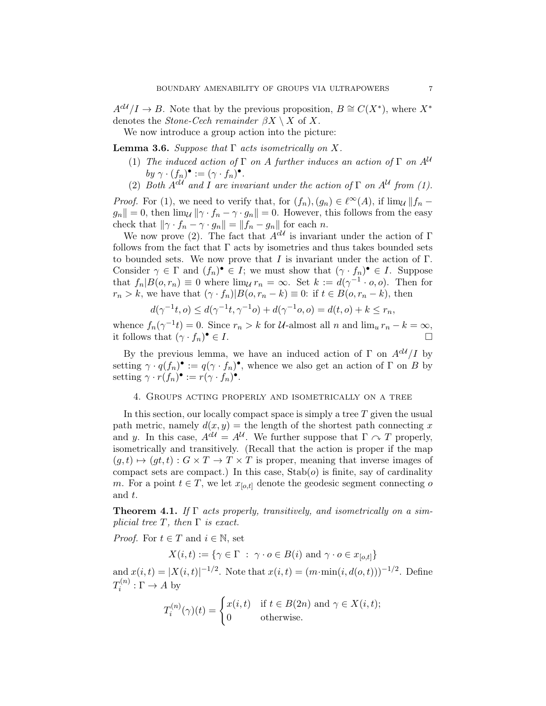$A^{c\mathcal{U}}/I \to B$ . Note that by the previous proposition,  $B \cong C(X^*)$ , where  $X^*$ denotes the *Stone-Cech remainder*  $\beta X \setminus X$  of X.

We now introduce a group action into the picture:

**Lemma 3.6.** Suppose that  $\Gamma$  acts isometrically on X.

- (1) The induced action of  $\Gamma$  on A further induces an action of  $\Gamma$  on  $A^{\mathcal{U}}$ by  $\gamma \cdot (f_n)^{\bullet} := (\gamma \cdot f_n)^{\bullet}.$
- (2) Both  $A^{cU}$  and I are invariant under the action of  $\Gamma$  on  $A^{U}$  from (1).

*Proof.* For (1), we need to verify that, for  $(f_n), (g_n) \in \ell^{\infty}(A)$ , if  $\lim_{\mathcal{U}} || f_n$  $g_n|| = 0$ , then  $\lim_{\mathcal{U}} ||\gamma \cdot f_n - \gamma \cdot g_n|| = 0$ . However, this follows from the easy check that  $\|\gamma \cdot f_n - \gamma \cdot g_n\| = \|f_n - g_n\|$  for each n.

We now prove (2). The fact that  $A^{cU}$  is invariant under the action of  $\Gamma$ follows from the fact that  $\Gamma$  acts by isometries and thus takes bounded sets to bounded sets. We now prove that  $I$  is invariant under the action of  $\Gamma$ . Consider  $\gamma \in \Gamma$  and  $(f_n)^{\bullet} \in I$ ; we must show that  $(\gamma \cdot f_n)^{\bullet} \in I$ . Suppose that  $f_n|B(o,r_n) \equiv 0$  where  $\lim_{\mathcal{U}} r_n = \infty$ . Set  $k := d(\gamma^{-1} \cdot o, o)$ . Then for  $r_n > k$ , we have that  $(\gamma \cdot f_n)|B(o, r_n - k) \equiv 0$ : if  $t \in B(o, r_n - k)$ , then

$$
d(\gamma^{-1}t, o) \le d(\gamma^{-1}t, \gamma^{-1}o) + d(\gamma^{-1}o, o) = d(t, o) + k \le r_n,
$$

whence  $f_n(\gamma^{-1}t) = 0$ . Since  $r_n > k$  for U-almost all n and  $\lim_u r_n - k = \infty$ , it follows that  $(\gamma \cdot f_n)^{\bullet} \in I$ .  $\bullet \in I.$ 

By the previous lemma, we have an induced action of  $\Gamma$  on  $A^{cU}/I$  by setting  $\gamma \cdot q(f_n)$  :=  $q(\gamma \cdot f_n)$ , whence we also get an action of  $\Gamma$  on  $B$  by setting  $\gamma \cdot r(f_n)$ <sup> $\bullet$ </sup> :=  $r(\gamma \cdot f_n)$ <sup> $\bullet$ </sup>.

### 4. Groups acting properly and isometrically on a tree

In this section, our locally compact space is simply a tree  $T$  given the usual path metric, namely  $d(x, y) =$  the length of the shortest path connecting x and y. In this case,  $A^{d\mathcal{U}} = A^{\mathcal{U}}$ . We further suppose that  $\Gamma \curvearrowright T$  properly, isometrically and transitively. (Recall that the action is proper if the map  $(g, t) \mapsto (gt, t) : G \times T \to T \times T$  is proper, meaning that inverse images of compact sets are compact.) In this case,  $\text{Stab}(o)$  is finite, say of cardinality m. For a point  $t \in T$ , we let  $x_{[o,t]}$  denote the geodesic segment connecting o and t.

**Theorem 4.1.** If  $\Gamma$  acts properly, transitively, and isometrically on a simplicial tree T, then  $\Gamma$  is exact.

*Proof.* For  $t \in T$  and  $i \in \mathbb{N}$ , set

 $X(i, t) := \{ \gamma \in \Gamma \; : \; \gamma \cdot o \in B(i) \text{ and } \gamma \cdot o \in x_{[o,t]} \}$ 

and  $x(i,t) = |X(i,t)|^{-1/2}$ . Note that  $x(i,t) = (m \cdot \min(i, d(o,t)))^{-1/2}$ . Define  $T_i^{(n)}$  $i^{(n)}:\Gamma\to A$  by

$$
T_i^{(n)}(\gamma)(t) = \begin{cases} x(i,t) & \text{if } t \in B(2n) \text{ and } \gamma \in X(i,t); \\ 0 & \text{otherwise.} \end{cases}
$$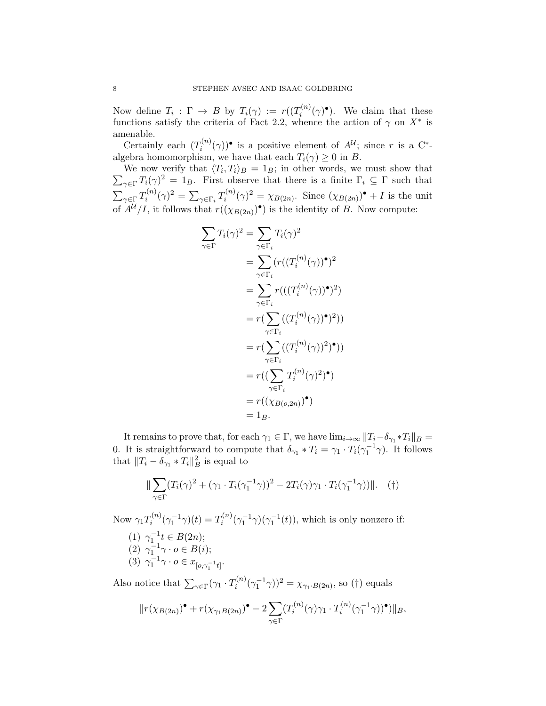Now define  $T_i : \Gamma \to B$  by  $T_i(\gamma) := r((T_i^{(n)})$  $i^{(n)}(\gamma)$ <sup>•</sup>). We claim that these functions satisfy the criteria of Fact 2.2, whence the action of  $\gamma$  on  $X^*$  is amenable.

Certainly each  $(T_i^{(n)}$  $i^{(n)}(\gamma)$ <sup>•</sup> is a positive element of  $A^{\mathcal{U}}$ ; since r is a C<sup>\*</sup>algebra homomorphism, we have that each  $T_i(\gamma) \geq 0$  in B.

We now verify that  $\langle T_i, T_i \rangle_B = 1_B$ ; in other words, we must show that  $\sum_{\gamma \in \Gamma} T_i(\gamma)^2 = 1_B$ . First observe that there is a finite  $\Gamma_i \subseteq \Gamma$  such that  $\sum_{\gamma \in \Gamma} T_i^{(n)}$  $\sum_{i=1}^{\gamma(n)}(\gamma)^2 = \sum_{\gamma\in\Gamma_i}T_i^{(n)}$  $\chi_i^{(n)}(\gamma)^2 = \chi_{B(2n)}$ . Since  $(\chi_{B(2n)})^{\bullet} + I$  is the unit of  $A^{\mathcal{U}}/I$ , it follows that  $r((\chi_{B(2n)})^{\bullet})$  is the identity of B. Now compute:

$$
\sum_{\gamma \in \Gamma} T_i(\gamma)^2 = \sum_{\gamma \in \Gamma_i} T_i(\gamma)^2
$$
\n
$$
= \sum_{\gamma \in \Gamma_i} (r((T_i^{(n)}(\gamma))^{\bullet})^2)
$$
\n
$$
= \sum_{\gamma \in \Gamma_i} r(((T_i^{(n)}(\gamma))^{\bullet})^2)
$$
\n
$$
= r(\sum_{\gamma \in \Gamma_i} ((T_i^{(n)}(\gamma))^{\bullet})^2))
$$
\n
$$
= r(\sum_{\gamma \in \Gamma_i} ((T_i^{(n)}(\gamma))^2)^{\bullet}))
$$
\n
$$
= r((\sum_{\gamma \in \Gamma_i} T_i^{(n)}(\gamma)^2)^{\bullet})
$$
\n
$$
= r((\chi_{B(o,2n)})^{\bullet})
$$
\n
$$
= 1_B.
$$

It remains to prove that, for each  $\gamma_1 \in \Gamma$ , we have  $\lim_{i\to\infty} ||T_i-\delta_{\gamma_1} *T_i||_B =$ 0. It is straightforward to compute that  $\delta_{\gamma_1} * T_i = \gamma_1 \cdot T_i(\gamma_1^{-1} \gamma)$ . It follows that  $||T_i - \delta_{\gamma_1} * T_i||_B^2$  is equal to

$$
\|\sum_{\gamma \in \Gamma} (T_i(\gamma)^2 + (\gamma_1 \cdot T_i(\gamma_1^{-1}\gamma))^2 - 2T_i(\gamma)\gamma_1 \cdot T_i(\gamma_1^{-1}\gamma))\|.
$$
 (†)

Now  $\gamma_1 T_i^{(n)}$  $T_i^{(n)}(\gamma_1^{-1}\gamma)(t) = T_i^{(n)}$  $\gamma_i^{(n)}(\gamma_1^{-1}\gamma)(\gamma_1^{-1}(t))$ , which is only nonzero if: (1)  $\gamma_1^{-1}t \in B(2n);$ (2)  $\gamma_1^{-1} \gamma \cdot o \in B(i);$ (3)  $\gamma_1^{-1} \gamma \cdot o \in x_{[o, \gamma_1^{-1} t]}.$ 

Also notice that  $\sum_{\gamma \in \Gamma} (\gamma_1 \cdot T_i^{(n)}$  $(\gamma_1^{(n)}(\gamma_1^{-1}\gamma))^2 = \chi_{\gamma_1 \cdot B(2n)}$ , so (†) equals

$$
||r(\chi_{B(2n)})^{\bullet} + r(\chi_{\gamma_1 B(2n)})^{\bullet} - 2\sum_{\gamma \in \Gamma} (T_i^{(n)}(\gamma)\gamma_1 \cdot T_i^{(n)}(\gamma_1^{-1}\gamma))^{\bullet})||_B,
$$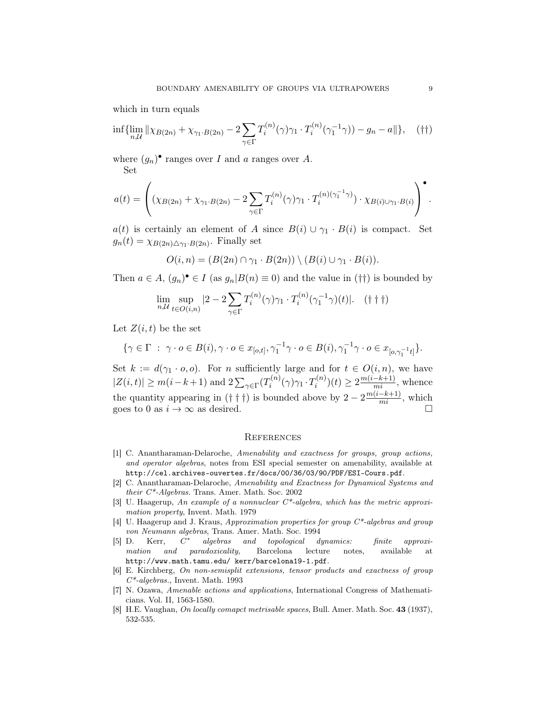which in turn equals

$$
\inf \{ \lim_{n,\mathcal{U}} \|\chi_{B(2n)} + \chi_{\gamma_1 \cdot B(2n)} - 2 \sum_{\gamma \in \Gamma} T_i^{(n)}(\gamma) \gamma_1 \cdot T_i^{(n)}(\gamma_1^{-1} \gamma)) - g_n - a \|\}, \quad (\dagger \dagger)
$$

where  $(g_n)$ <sup>•</sup> ranges over I and a ranges over A. Set

$$
a(t) = \left( (\chi_{B(2n)} + \chi_{\gamma_1 \cdot B(2n)} - 2 \sum_{\gamma \in \Gamma} T_i^{(n)}(\gamma) \gamma_1 \cdot T_i^{(n)(\gamma_1^{-1}\gamma)} ) \cdot \chi_{B(i) \cup \gamma_1 \cdot B(i)} \right)^\bullet.
$$

 $a(t)$  is certainly an element of A since  $B(i) \cup \gamma_1 \cdot B(i)$  is compact. Set  $g_n(t) = \chi_{B(2n)\triangle \gamma_1 \cdot B(2n)}$ . Finally set

$$
O(i, n) = (B(2n) \cap \gamma_1 \cdot B(2n)) \setminus (B(i) \cup \gamma_1 \cdot B(i)).
$$

Then  $a \in A$ ,  $(g_n)$ <sup> $\bullet \in I$ </sup> (as  $g_n | B(n) \equiv 0$ ) and the value in (††) is bounded by

$$
\lim_{n,\mathcal{U}} \sup_{t \in O(i,n)} |2 - 2 \sum_{\gamma \in \Gamma} T_i^{(n)}(\gamma) \gamma_1 \cdot T_i^{(n)}(\gamma_1^{-1} \gamma)(t)|. \quad (\dagger \dagger \dagger)
$$

Let  $Z(i, t)$  be the set

$$
\{\gamma \in \Gamma \ : \ \gamma \cdot o \in B(i), \gamma \cdot o \in x_{[o,t]}, \gamma_1^{-1}\gamma \cdot o \in B(i), \gamma_1^{-1}\gamma \cdot o \in x_{[o,\gamma_1^{-1}t]}\}.
$$

Set  $k := d(\gamma_1 \cdot o, o)$ . For *n* sufficiently large and for  $t \in O(i, n)$ , we have  $|Z(i, t)| \ge m(i - k + 1)$  and  $2\sum_{\gamma \in \Gamma} (T_i^{(n)})$  $T_i^{(n)}(\gamma)\gamma_1\cdot T_i^{(n)}$  $a_i^{(n)}(t) \ge 2 \frac{m(i-k+1)}{mi}$ , whence the quantity appearing in  $(\dagger \dagger \dagger)$  is bounded above by  $2 - 2 \frac{m(i-k+1)}{mi}$ , which goes to 0 as  $i \to \infty$  as desired.

#### **REFERENCES**

- [1] C. Anantharaman-Delaroche, Amenability and exactness for groups, group actions, and operator algebras, notes from ESI special semester on amenability, available at http://cel.archives-ouvertes.fr/docs/00/36/03/90/PDF/ESI-Cours.pdf.
- [2] C. Anantharaman-Delaroche, Amenability and Exactness for Dynamical Systems and their C\*-Algebras. Trans. Amer. Math. Soc. 2002
- [3] U. Haagerup, An example of a nonnuclear C\*-algebra, which has the metric approximation property, Invent. Math. 1979
- [4] U. Haagerup and J. Kraus, Approximation properties for group  $C^*$ -algebras and group von Neumann algebras, Trans. Amer. Math. Soc. 1994
- $[5]$  D. Kerr,  $C^*$ algebras and topological dynamics: finite approximation and paradoxicality, Barcelona lecture notes, available at http://www.math.tamu.edu/ kerr/barcelona19-1.pdf.
- [6] E. Kirchberg, On non-semisplit extensions, tensor products and exactness of group  $C^*$ -algebras., Invent. Math. 1993
- [7] N. Ozawa, Amenable actions and applications, International Congress of Mathematicians. Vol. II, 1563-1580.
- [8] H.E. Vaughan, On locally comapct metrisable spaces, Bull. Amer. Math. Soc. 43 (1937), 532-535.